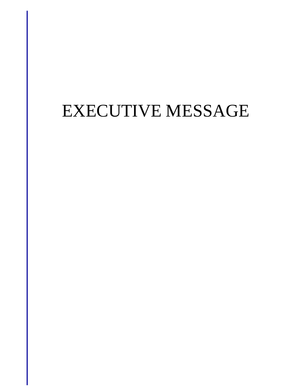# EXECUTIVE MESSAGE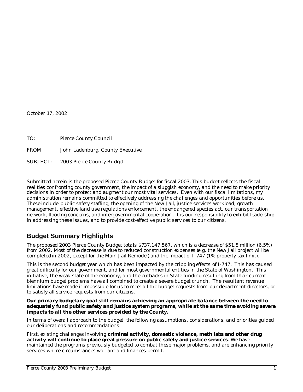October 17, 2002

| TO:      | Pierce County Council            |
|----------|----------------------------------|
| FROM:    | John Ladenburg, County Executive |
| SUBJECT: | 2003 Pierce County Budget        |

Submitted herein is the proposed Pierce County Budget for fiscal 2003. This budget reflects the fiscal realities confronting county government, the impact of a sluggish economy, and the need to make priority decisions in order to protect and augment our most vital services. Even with our fiscal limitations, my administration remains committed to effectively addressing the challenges and opportunities before us. These include public safety staffing, the opening of the New Jail, justice services workload, growth management, effective land use regulations enforcement, the endangered species act, our transportation network, flooding concerns, and intergovernmental cooperation. It is our responsibility to exhibit leadership in addressing these issues, and to provide cost-effective public services to our citizens.

# **Budget Summary Highlights**

The proposed 2003 Pierce County Budget totals \$737,147,567, which is a decrease of \$51.5 million (6.5%) from 2002. Most of the decrease is due to reduced construction expenses (e.g. the New Jail project will be completed in 2002, except for the Main Jail Remodel) and the impact of I -747 (1% property tax limit).

This is the second budget year which has been impacted by the crippling effects of I-747. This has caused great difficulty for our government, and for most governmental entities in the State of Washington. This initiative, the weak state of the economy, and the cutbacks in State funding resulting from their current biennium budget problems have all combined to create a severe budget crunch. The resultant revenue limitations have made it impossible for us to meet all the budget requests from our department directors, or to satisfy all service requests from our citizens.

#### *Our primary budgetary goal still remains achieving an appropriate balance between the need to adequately fund public safety and justice system programs, while at the same time avoiding severe impacts to all the other services provided by the County.*

In terms of overall approach to the budget, the following assumptions, considerations, and priorities guided our deliberations and recommendations:

First, existing challenges involving **criminal activity, domestic violence, meth labs and other drug activity will continue to place great pressure on public safety and justice services**. We have maintained the programs previously budgeted to combat these major problems, and are enhancing priority services where circumstances warrant and finances permit.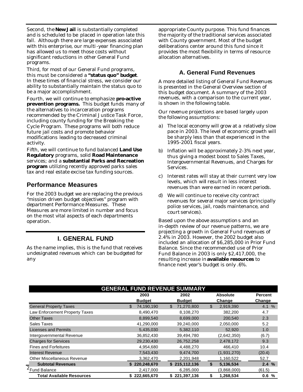Second, the **New Jail** is substantially completed and is scheduled to be placed in operation late this fall. Although there are large expenses associated with this enterprise, our multi -year financing plan has allowed us to meet those costs without significant reductions in other General Fund programs.

Third, for most of our General Fund programs, this must be considered a **"status quo" budget**. In these times of financial stress, we consider our ability to substantially maintain the status quo to be a major accomplishment.

Fourth, we will continue to emphasize **pro-active prevention programs.** This budget funds many of the alternatives to incarceration programs recommended by the Criminal Justice Task Force , including county funding for the Breaking the Cycle Program. These programs will both reduce future jail costs and promote behavior modifications leading to decreased criminal activity.

Fifth, we will continue to fund balanced **Land Use Regulatory** programs, solid **Road Maintenance** services; and a **substantial Parks and Recreation program** utilizing recently approved parks sales tax and real estate excise tax funding sources.

# **Performance Measures**

For the 2003 budget we are replacing the previous "mission driven budget objectives" program with department Performance Measures. These Measures are more limited in number and focus on the most vital aspects of each departments operation.

# **I. GENERAL FUND**

As the name implies, this is the fund that receives undesignated revenues which can be budgeted for any

appropriate County purpose. This fund finances the majority of the traditional services associated with County government. Most of the budget deliberations center around this fund since it provides the most flexibility in terms of resource allocation alternatives.

### **A. General Fund Revenues**

A more detailed listing of General Fund Revenues is presented in the General Overview section of this budget document. A summary of the 2003 revenues, with a comparison to the current year, is shown in the following table.

Our revenue projections are based largely upon the following assumptions:

- a) The local economy will grow at a relatively slow pace in 2003. The level of economic growth will be sharply less than that experienced in the 1995-2001 fiscal years.
- b) Inflation will be approximately 2-3% next year, thus giving a modest boost to Sales Taxes, Intergovernmental Revenues, and Charges for Services.
- c) Interest rates will stay at their current very low levels, which will result in less interest revenues than were earned in recent periods.
- d) We will continue to receive city contract revenues for several major services (principally police services, jail, roads maintenance, and court services).

Based upon the above assumptions and an in-depth review of our revenue patterns, we are projecting a growth in General Fund revenues of 2.4% in 2003. However, the 2002 budget also included an allocation of \$6,285,000 in Prior Fund Balance. Since the recommended use of Prior Fund Balance in 2003 is only \$2,417,000, the resulting increase in **available resources** to finance next year's budget is only .6%.

| <b>GENERAL FUND REVENUE SUMMARY</b> |                   |                  |                           |                |  |  |  |  |
|-------------------------------------|-------------------|------------------|---------------------------|----------------|--|--|--|--|
|                                     | 2003              | 2002             | <b>Absolute</b>           | <b>Percent</b> |  |  |  |  |
|                                     | <b>Budget</b>     | <b>Budget</b>    | Change                    | Change         |  |  |  |  |
| <b>General Property Taxes</b>       | 74,190,190<br>\$. | 71,270,800<br>\$ | $\mathbb{S}$<br>2,919,390 | 4.1%           |  |  |  |  |
| Law Enforcement Property Taxes      | 8,490,470         | 8,108,270        | 382,200                   | 4.7            |  |  |  |  |
| <b>Other Taxes</b>                  | 8,899,540         | 8,699,000        | 200,540                   | 2.3            |  |  |  |  |
| Sales Taxes                         | 41,290,000        | 39,240,000       | 2,050,000                 | 5.2            |  |  |  |  |
| <b>Licenses and Permits</b>         | 5,435,030         | 5,382,110        | 52,920                    | 1.0            |  |  |  |  |
| Intergovernmental Revenue           | 36,852,430        | 39,494,780       | (2,642,350)               | (6.7)          |  |  |  |  |
| <b>Charges for Services</b>         | 29,230,430        | 26,752,258       | 2,478,172                 | 9.3            |  |  |  |  |
| <b>Fines and Forfeitures</b>        | 4,954,680         | 4,488,270        | 466.410                   | 10.4           |  |  |  |  |
| Interest Revenue                    | 7,543,430         | 9,474,700        | (1,931,270)               | (20.4)         |  |  |  |  |
| <b>Other Miscellaneous Revenue</b>  | 3,362,470         | 2,201,948        | 1,160,522                 | 52.7           |  |  |  |  |
| <b>Subtotal Revenues</b>            | \$220,248,670     | \$215,112,136    | \$<br>5,136,534           | 2.4%           |  |  |  |  |
| Fund Balance                        | 2,417,000         | 6,285,000        | (3,868,000)               | (61.5)         |  |  |  |  |
| <b>Total Available Resources</b>    | \$222,665,670     | \$221,397,136    | \$<br>1,268,534           | 0.6%           |  |  |  |  |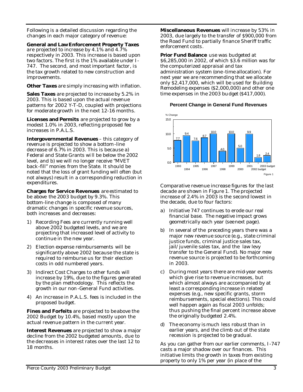Following is a detailed discussion regarding the changes in each major category of revenue:

**General and Law Enforcement Property Taxes** are projected to increase by 4.1% and 4.7% respectively in 2003. This increase is based upon two factors. The first is the 1% available under I - 747. The second, and most important factor, is the tax growth related to new construction and improvements.

**Other Taxes** are simply increasing with inflation.

**Sales Taxes** are projected to increase by 5.2% in 2003. This is based upon the actual revenue patterns for 2002 Y-T-D, coupled with projections for moderate growth in the next 12-16 months.

**Licenses and Permits** are projected to grow by a modest 1.0% in 2003, reflecting proposed fee increases in P.A.L.S.

**Intergovernmental Revenues** – this category of revenue is projected to show a bottom-line decrease of 6.7% in 2003. This is because a) Federal and State Grants will be below the 2002 level, and b) we will no longer receive "MVET back-fill" monies from the State. It should be noted that the loss of grant funding will often (but not always) result in a corresponding reduction in expenditures.

**Charges for Service Revenues** are estimated to be above the 2003 budget by 9.3%. This bottom-line change is composed of many dramatic changes in specific revenue sources, both increases and decreases:

- 1) Recording Fees are currently running well above 2002 budgeted levels, and we are projecting that increased level of activity to continue in the new year.
- 2) Election expense reimbursements will be significantly above 2002 because the state is required to reimburse us for their election costs in odd numbered years.
- 3) Indirect Cost Charges to other funds will increase by 19%, due to the figures generated by the plan methodology. This reflects the growth in our non-General Fund activities.
- 4) An increase in P.A.L.S. fees is included in the proposed budget.

**Fines and Forfeits** are projected to be above the 2002 Budget by 10.4%, based mostly upon the actual revenue pattern in the current year.

**Interest Revenues** are projected to show a major decline from the 2002 budgeted amounts, due to the decreases in interest rates over the last 12 to 18 months.

**Miscellaneous Revenues** will increase by 53% in 2003, due largely to the transfer of \$900,000 from the Road Fund to partially finance Sheriff traffic enforcement costs.

**Prior Fund Balance** use was budgeted at \$6,285,000 in 2002, of which \$3.6 million was for the computerized appraisal and tax administration system (one -time allocation). For next year we are recommending that we allocate only \$2,417,000, which will be used for Building Remodeling expenses (\$2,000,000) and other one time expenses in the 2003 budget (\$417,000).

#### **Percent Change in General Fund Revenues**



Comparative revenue increase figures for the last decade are shown in Figure 1. The projected increase of 2.4% in 2003 is the second lowest in the decade, due to four factors:

- a) Initiative 747 continues to erode our real financial base. The negative impact grows geometrically each year (see next page).
- b) In several of the preceding years there was a major new revenue source (e.g., state criminal justice funds, criminal justice sales tax, jail/juvenile sales tax, and the law levy transfer to the General Fund). No major new revenue source is projected to be forthcoming in 2003.
- c) During most years there are mid-year events which give rise to revenue increases, but which almost always are accompanied by at least a corresponding increase in related expenses (e.g., new specific grants, storm reimbursements, special elections). This could well happen again as fiscal 2003 unfolds; thus pushing the final percent increase above the originally budgeted 2.4%.
- d) The economy is much less robust than in earlier years, and the climb out of the state recession is projected to be gradual.

As you can gather from our earlier comments, I -747 casts a major shadow over our finances. This initiative limits the growth in taxes from existing property to only 1% per year (in place of the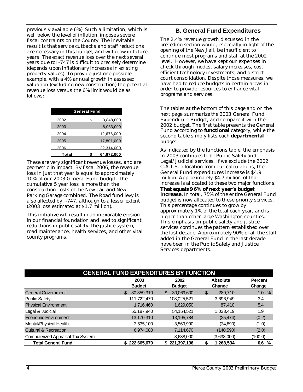previously available 6%). Such a limitation, which is well below the level of inflation, imposes severe fiscal contraints on the County. The inevitable result is that service cutbacks and staff reductions are necessary in this budget, and will grow in future years. The exact revenue loss over the next several years due to I-747 is difficult to precisely determine (depends upon inflationary increases in existing property values). To provide just one possible example, with a 4% annual growth in assessed valuation (excluding new construction) the potential revenue loss versus the 6% limit would be as follows:

| <b>General Fund</b> |                 |  |  |  |  |  |
|---------------------|-----------------|--|--|--|--|--|
| 2002                | \$<br>3,848,000 |  |  |  |  |  |
| 2003                | 8,033,000       |  |  |  |  |  |
| 2004                | 12,676,000      |  |  |  |  |  |
| 2005                | 17,801,000      |  |  |  |  |  |
| 2006                | 22,314,000      |  |  |  |  |  |
| Total               | 64,672,000<br>S |  |  |  |  |  |

These are very significant revenue losses, and are geometric in impact. By fiscal 2006, the revenue loss in just that year is equal to approximately 10% of our 2003 General Fund budget. The cumulative 5 year loss is more than the construction costs of the New Jail and New Parking Garage combined. The Road fund levy is also affected by I-747, although to a lesser extent (2003 loss estimated at \$1.7 million).

This initiative will result in an ine xorable erosion in our financial foundation and lead to significant reductions in public safety, the justice system, road maintenance, health services, and other vital county programs.

# **B. General Fund Expenditures**

The 2.4% revenue growth discussed in the preceding section would, especially in light of the opening of the New Jail, be insufficient to continue most programs and staff at the 2002 level. However, we have kept our expenses in check through modest salary increases, cost efficient technology investments, and district court consolidation. Despite those measures, we have had to reduce budgets in certain areas in order to provide resources to enhance vital programs and services.

The tables at the bottom of this page and on the next page summarize the 2003 General Fund Expenditure Budget, and compare it with the 2002 budget. The first table presents the General Fund according to **functional** category, while the second table simply lists each **departmental** budget.

As indicated by the functions table, the emphasis in 2003 continues to be Public Safety and Legal/Judicial services. If we exclude the 2002 C.A.T.S. allocation from our calculations, the General Fund expenditures increase is \$4.9 million. Approximately \$4.7 million of that increase is allocated to these two major functions. **That equals 96% of next year's budget increase.** In total, 75% of the entire General Fund budget is now allocated to these priority services. This percentage continues to grow by approximately 1% of the total each year, and is higher than other large Washington counties. This emphasis on public safety and justice services continues the pattern established over the last decade. Approximately 90% of all the staff added in the General Fund in the last decade have been in the Public Safety and Justice Services departments.

| <b>GENERAL FUND EXPENDITURES BY FUNCTION</b> |                       |                       |                           |                          |  |  |  |  |
|----------------------------------------------|-----------------------|-----------------------|---------------------------|--------------------------|--|--|--|--|
|                                              | 2003<br><b>Budget</b> | 2002<br><b>Budget</b> | <b>Absolute</b><br>Change | <b>Percent</b><br>Change |  |  |  |  |
| <b>General Government</b>                    | 30,359,310<br>\$      | 30,069,600<br>\$      | \$<br>289,710             | 1.0%                     |  |  |  |  |
| <b>Public Safety</b>                         | 111,722,470           | 108,025,521           | 3,696,949                 | 3.4                      |  |  |  |  |
| <b>Physical Environment</b>                  | 1,716,460             | 1,629,050             | 87,410                    | 5.4                      |  |  |  |  |
| Legal & Judicial                             | 55,187,940            | 54,154,521            | 1,033,419                 | 1.9                      |  |  |  |  |
| Economic Environment                         | 13,170,310            | 13,195,784            | (25, 474)                 | (0.2)                    |  |  |  |  |
| Mental/Physical Health                       | 3,535,100             | 3,569,990             | (34,890)                  | (1.0)                    |  |  |  |  |
| <b>Cultural &amp; Recreation</b>             | 6,974,080             | 7,114,670             | (140, 590)                | (2.0)                    |  |  |  |  |
| Computerized Appraisal Tax System            |                       | 3,638,000             | (3,638,000)               | (100.0)                  |  |  |  |  |
| <b>Total General Fund</b>                    | \$222,665,670         | \$221,397,136         | 1,268,534<br>\$           | 0.6<br>%                 |  |  |  |  |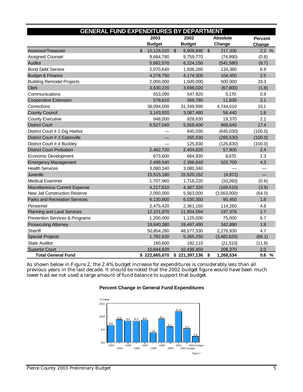| <b>GENERAL FUND EXPENDITURES BY DEPARTMENT</b> |     |               |               |               |                |                 |                |
|------------------------------------------------|-----|---------------|---------------|---------------|----------------|-----------------|----------------|
|                                                |     | 2003          |               | 2002          |                | <b>Absolute</b> | <b>Percent</b> |
|                                                |     | <b>Budget</b> |               | <b>Budget</b> |                | Change          | Change         |
| Assessor/Treasurer                             | \$. | 10,126,020    | $\mathcal{S}$ | 9,908,690     | $\mathfrak{S}$ | 217,330         | 2.2%           |
| <b>Assigned Counsel</b>                        |     | 9,684,780     |               | 9,759,770     |                | (74,990)        | (0.8)          |
| Auditor                                        |     | 5,682,570     |               | 6,224,150     |                | (541, 580)      | (8.7)          |
| <b>Bond Debt Service</b>                       |     | 2,070,640     |               | 1,936,260     |                | 134,380         | 6.9            |
| <b>Budget &amp; Finance</b>                    |     | 4,278,750     |               | 4,174,300     |                | 104,450         | 2.5            |
| <b>Building Remodel Projects</b>               |     | 2,000,000     |               | 1,500,000     |                | 500,000         | 33.3           |
| <b>Clerk</b>                                   |     | 3,630,220     |               | 3,698,020     |                | (67, 800)       | (1.8)          |
| Communications                                 |     | 553,090       |               | 547,920       |                | 5,170           | 0.9            |
| <b>Cooperative Extension</b>                   |     | 578,610       |               | 566,780       |                | 11,830          | 2.1            |
| Corrections                                    |     | 36,094,000    |               | 31,349,990    |                | 4,744,010       | 15.1           |
| <b>County Council</b>                          |     | 3,143,920     |               | 3,087,480     |                | 56,440          | 1.8            |
| <b>County Executive</b>                        |     | 948,000       |               | 928,630       |                | 19,370          | 2.1            |
| <b>District Court</b>                          |     | 6,527,040     |               | 5,558,400     |                | 968,640         | 17.4           |
| District Court # 2 Gig Harbor                  |     |               |               | 645,030       |                | (645,030)       | (100.0)        |
| District Court # 3 Eatonville                  |     |               |               | 265,530       |                | (265, 530)      | (100.0)        |
| District Court # 4 Buckley                     |     |               |               | 125,830       |                | (125, 830)      | (100.0)        |
| <b>District Court Probation</b>                |     | 2,462,720     |               | 2,404,820     |                | 57,900          | 2.4            |
| Economic Development                           |     | 673,600       |               | 664,930       |                | 8,670           | 1.3            |
| <b>Emergency Management</b>                    |     | 2,499,540     |               | 2,396,840     |                | 102,700         | 4.3            |
| <b>Health Services</b>                         |     | 3,080,340     |               | 3,080,340     |                |                 |                |
| Juvenile                                       |     | 15,515,180    |               | 15,520,152    |                | (4,972)         | L.             |
| <b>Medical Examiner</b>                        |     | 1,707,960     |               | 1,718,220     |                | (10, 260)       | (0.6)          |
| Miscellaneous Current Expense                  |     | 4,217,810     |               | 4,387,320     |                | (169, 510)      | (3.9)          |
| New Jail Construction Reserve                  |     | 2,000,000     |               | 5,563,000     |                | (3,563,000)     | (64.0)         |
| <b>Parks and Recreation Services</b>           |     | 6,130,800     |               | 6,035,350     |                | 95,450          | 1.6            |
| Personnel                                      |     | 2,475,420     |               | 2,361,160     |                | 114,260         | 4.8            |
| Planning and Land Services                     |     | 12,101,970    |               | 11,904,594    |                | 197,376         | 1.7            |
| Prevention Services & Programs                 |     | 1,200,000     |               | 1,125,000     |                | 75,000          | 6.7            |
| <b>Prosecuting Attorney</b>                    |     | 19,840,380    |               | 19,497,490    |                | 342,890         | 1.8            |
| Sheriff                                        |     | 50,854,260    |               | 48,577,330    |                | 2,276,930       | 4.7            |
| <b>Special Projects</b>                        |     | 1,782,630     |               | 5,265,250     |                | (3,482,620)     | (66.1)         |
| <b>State Auditor</b>                           |     | 160,600       |               | 182,110       |                | (21, 510)       | (11.8)         |
| <b>Superior Court</b>                          |     | 10,644,820    |               | 10,436,450    |                | 208,370         | 2.0            |
| <b>Total General Fund</b>                      |     | \$222,665,670 |               | \$221,397,136 | \$             | 1,268,534       | 0.6 %          |

As shown below in Figure 2, the 2.4% budget increase for expenditures is considerably less than all previous years in the last decade. It should be noted that the 2002 budget figure would have been much lower had we not used a large amount of fund balance to support that budget.



#### **Percent Change in General Fund Expenditures**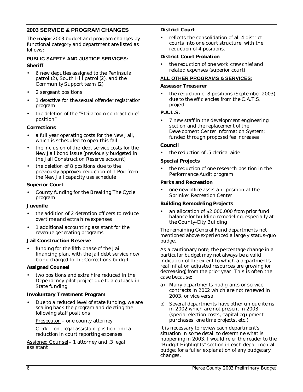# **2003 SERVICE & PROGRAM CHANGES**

The **major** 2003 budget and program changes by functional category and department are listed as follows:

#### **PUBLIC SAFETY AND JUSTICE SERVICES: Sheriff**

- 6 new deputies assigned to the Peninsula patrol (2), South Hill patrol (2), and the Community Support team (2)
- 2 sergeant positions
- 1 detective for the sexual offender registration program
- the deletion of the "Steilacoom contract chief position"

#### **Corrections**

- a full year operating costs for the New Jail, which is scheduled to open this fall
- the inclusion of the debt service costs for the New Jail bond issue (previously budgeted in the Jail Construction Reserve account)
- the deletion of 8 positions due to the previously approved reduction of 1 Pod from the New Jail capacity use schedule

#### **Superior Court**

• County funding for the Breaking The Cycle program

#### **Juvenile**

- the addition of 2 detention officers to reduce overtime and extra hire expenses
- 1 additional accounting assistant for the revenue generating programs

#### **Jail Construction Reserve**

funding for the fifth phase of the Jail financing plan, with the jail debt service now being charged to the Corrections budget

#### **Assigned Counsel**

two positions and extra hire reduced in the Dependency pilot project due to a cutback in State funding

#### **Involuntary Treatment Program**

• Due to a reduced level of state funding, we are scaling back the program and deleting the following staff positions:

Prosecutor – one county attorney

Clerk – one legal assistant position and a reduction in court reporting expenses

Assigned Counsel – 1 attorney and .3 legal assistant

#### **District Court**

• reflects the consolidation of all 4 district courts into one court structure, with the reduction of 4 positions.

#### **District Court Probation**

• the reduction of one work crew chief and related expenses (superior court)

#### **ALL OTHER PROGRAMS & SERVICES:**

#### **Assessor Treasurer**

• the reduction of 8 positions (September 2003) due to the efficiencies from the C.A.T.S. project

#### **P.A.L.S.**

• 7 new staff in the development engineering section and the replacement of the Development Center Information System; funded through proposed fee increases

#### **Council**

the reduction of .5 clerical aide

#### **Special Projects**

the reduction of one research position in the Performance Audit program

#### **Parks and Recreation**

• one new office assistant position at the Sprinker Recreation Center

#### **Building Remodeling Projects**

• an allocation of \$2,000,000 from prior fund balance for building remodeling, especially at the County-City Building

The remaining General Fund departments not mentioned above experienced a largely status-quo budget.

As a cautionary note, the percentage change in a particular budget may not always be a valid indication of the extent to which a department's real inflation adjusted resources are growing (or decreasing) from the prior year. This is often the case because:

- a) Many departments had grants or service contracts in 2002 which are not renewed in 2003, or vice versa.
- b) Several departments have other unique items in 2002 which are not present in 2003 (special election costs, capital equipment purchases, one time projects, etc.).

It is necessary to review each department's situation in some detail to determine what is happening in 2003. I would refer the reader to the "Budget Highlights" section in each departmental budget for a fuller e xplanation of any budgetary changes.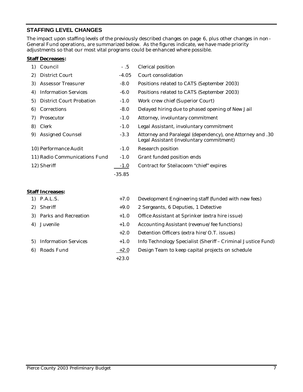# **STAFFING LEVEL CHANGES**

The impact upon staffing levels of the previously described changes on page 6, plus other changes in non-General Fund operations, are summarized below. As the figures indicate, we have made priority adjustments so that our most vital programs could be enhanced where possible.

#### **Staff Decreases:**

| 1) | Council                         | - .5     | Clerical position                                                                                     |
|----|---------------------------------|----------|-------------------------------------------------------------------------------------------------------|
| 2) | District Court                  | $-4.05$  | Court consolidation                                                                                   |
| 3) | Assessor Treasurer              | $-8.0$   | Positions related to CATS (September 2003)                                                            |
| 4) | <b>Information Services</b>     | $-6.0$   | Positions related to CATS (September 2003)                                                            |
| 5) | <b>District Court Probation</b> | $-1.0$   | Work crew chief (Superior Court)                                                                      |
| 6) | Corrections                     | $-8.0$   | Delayed hiring due to phased opening of New Jail                                                      |
| 7) | Prosecutor                      | $-1.0$   | Attorney, involuntary commitment                                                                      |
| 8) | Clerk                           | $-1.0$   | Legal Assistant, involuntary commitment                                                               |
| 9) | Assigned Counsel                | $-3.3$   | Attorney and Paralegal (dependency), one Attorney and .30<br>Legal Assistant (involuntary commitment) |
|    | 10) Performance Audit           | $-1.0$   | Research position                                                                                     |
|    | 11) Radio Communications Fund   | $-1.0$   | Grant funded position ends                                                                            |
|    | 12) Sheriff                     | $-1.0$   | Contract for Steilacoom "chief" expires                                                               |
|    |                                 | $-35.85$ |                                                                                                       |
|    |                                 |          |                                                                                                       |

#### **Staff Increases:**

| 1) P.A.L.S.             | $+7.0$  | Development Engineering staff (funded with new fees)         |
|-------------------------|---------|--------------------------------------------------------------|
| 2) Sheriff              | $+9.0$  | 2 Sergeants, 6 Deputies, 1 Detective                         |
| 3) Parks and Recreation | $+1.0$  | Office Assistant at Sprinker (extra hire issue)              |
| 4) Juvenile             | $+1.0$  | Accounting Assistant (revenue/fee functions)                 |
|                         | $+2.0$  | Detention Officers (extra hire/O.T. issues)                  |
| 5) Information Services | $+1.0$  | Info Technology Specialist (Sheriff - Criminal Justice Fund) |
| 6) Roads Fund           | $+2.0$  | Design Team to keep capital projects on schedule             |
|                         | $+23.0$ |                                                              |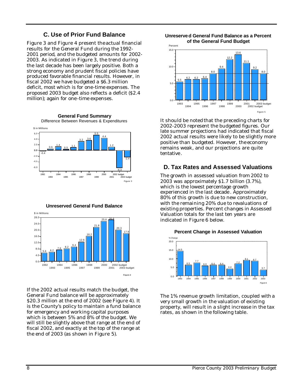# **C. Use of Prior Fund Balance**

Figure 3 and Figure 4 present the actual financial results for the General Fund during the 1992- 2001 period, and the budgeted amounts for 2002- 2003. As indicated in Figure 3, the trend during the last decade has been largely positive. Both a strong economy and prudent fiscal policies have produced favorable financial results. However, in fiscal 2002 we have budgeted a \$6.3 million deficit, most which is for one-time expenses. The proposed 2003 budget also reflects a deficit (\$2.4 million); again for one -time expenses.



**Unreserved General Fund Balance**



If the 2002 actual results match the budget, the General Fund balance will be approximately \$20.3 million at the end of 2002 (see Figure 4). It is the County's policy to maintain a fund balance for emergency and working capital purposes which is between 5% and 8% of the budget. We will still be slightly above that range at the end of fiscal 2002, and exactly at the top of the range at the end of 2003 (as shown in Figure 5).

**Unreserved General Fund Balance as a Percent of the General Fund Budget**



It should be noted that the preceding charts for 2002-2003 represent the budgeted figures. Our late summer projections had indicated that fiscal 2002 actual results were likely to be slightly more positive than budgeted. However, the economy remains weak, and our projections are quite tentative .

# **D. Tax Rates and Assessed Valuations**

The growth in assessed valuation from 2002 to 2003 was approximately \$1.7 billion (3.7%), which is the lowest percentage growth experienced in the last decade . Approximately 80% of this growth is due to new construction, with the remaining 20% due to revaluations of existing properties. Percent changes in Assessed Valuation totals for the last ten years are indicated in Figure 6 below.



**Percent Change in Assessed Valuation**

The 1% revenue growth limitation, coupled with a very small growth in the valuation of existing property, will result in a slight increase in the tax rates, as shown in the following table.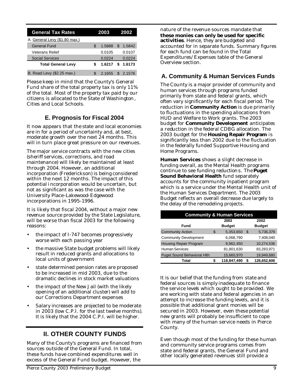| <b>General Tax Rates</b>      |   | 2003   |     | 2002   |
|-------------------------------|---|--------|-----|--------|
| A. General Levy (\$1.80 max.) |   |        |     |        |
| General Fund                  | S | 1.5888 | S   | 1.5842 |
| Veterans Relief               |   | 0.0105 |     | 0.0107 |
| <b>Social Services</b>        |   | 0.0224 |     | 0.0224 |
| <b>Total General Levy</b>     |   | 1.6217 | S   | 1.6173 |
| B. Road Levy (\$2.25 max.)    |   | 2.1655 | \$. | 2.1576 |

Please keep in mind that the County's General Fund share of the total property tax is only 11% of the total. Most of the property tax paid by our citizens is allocated to the State of Washington, Cities and Local Schools.

# **E. Prognosis for Fiscal 2004**

It now appears that the state and local economies are in for a period of uncertainty and, at best, moderate growth over the next 24 months. This will in turn place great pressure on our revenues.

The major service contracts with the new cities (sheriff services, corrections, and road maintenance) will likely be maintained at least through 2004. However, an additional incorporation (Frederickson) is being considered within the next 12 months. The impact of this potential incorporation would be uncertain, but not as significant as was the case with the University Place-Lakewood-Edgewood incorporations in 1995-1996.

It is likely that fiscal 2004, without a major new revenue source provided by the State Legislature, will be worse than fiscal 2003 for the following reasons:

- the impact of I-747 becomes progressively worse with each passing year
- the massive State budget problems will likely result in reduced grants and allocations to local units of government
- state determined pension rates are proposed to be increased in mid 2003, due to the dramatic declines in stock market valuations
- the impact of the New Jail (with the likely opening of an additional cluster) will add to our Corrections Department expenses
- Salary increases are projected to be moderate in 2003 (low C.P.I. for the last twelve months). It is likely that the 2004 C.P.I. will be higher.

# **II. OTHER COUNTY FUNDS**

Many of the County's programs are financed from sources outside of the General Fund. In total, these funds have combined expenditures well in excess of the General Fund budget. However, the

nature of the revenue sources mandate that **these monies can only be used for specific activities**. Hence, they are budgeted and accounted for in separate funds. Summary figures for each fund can be found in the Total Expenditures/Expenses table of the General Overview section.

# **A. Community & Human Services Funds**

The County is a major provider of community and human services through programs funded primarily from state and federal grants, which often vary significantly for each fiscal period. The reduction in **Community Action** is due primarily to fluctuations in the spending allocations from HUD and Welfare to Work grants. The 2003 budget for **Community Development** anticipates a reduction in the federal CDBG allocation. The 2003 budget for the **Housing Repair Program** is significantly less than 2002 due to the fluctuation in the federally funded Supportive Housing and Home Programs.

**Human Services** shows a slight decrease in funding overall, as the Mental Health programs continue to see funding reductions. The **Puget Sound Behavioral Health** fund separately accounts for the community inpatient program which is a service under the Mental Health unit of the Human Services Department. The 2003 Budget reflects an overall decrease due largely to the delay of the remodeling projects.

| <b>Community &amp; Human Services</b> |    |                       |    |                       |  |  |  |  |
|---------------------------------------|----|-----------------------|----|-----------------------|--|--|--|--|
| Fund                                  |    | 2003<br><b>Budget</b> |    | 2002<br><b>Budget</b> |  |  |  |  |
| <b>Community Action</b>               | \$ | 5,353,650             | \$ | 5,736,379             |  |  |  |  |
| <b>Community Development</b>          |    | 6,068,790             |    | 7,408,040             |  |  |  |  |
| <b>Housing Repair Program</b>         |    | 9,962,450             |    | 10,274,536            |  |  |  |  |
| Human Services                        |    | 81,801,630            |    | 83,283,971            |  |  |  |  |
| <b>Puget Sound Behavioral Hith</b>    |    | 15,660,970            |    | 19,949,680            |  |  |  |  |
| Total                                 | S  | 118,847,490           |    | 126,652,606           |  |  |  |  |

It is our belief that the funding from state and federal sources is simply inadequate to finance the service levels which ought to be provided. We are working with state and federal agencies in an attempt to increase the funding levels, and it is possible that additional grant monies will be secured in 2003. However, even these potential new grants will probably be insufficient to cope with many of the human service needs in Pierce County.

Even though most of the funding for these human and community service programs comes from state and federal grants, the General Fund and other locally generated revenues still provide a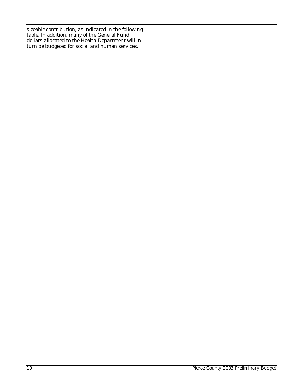sizeable contribution, as indicated in the following table. In addition, many of the General Fund dollars allocated to the Health Department will in turn be budgeted for social and human services.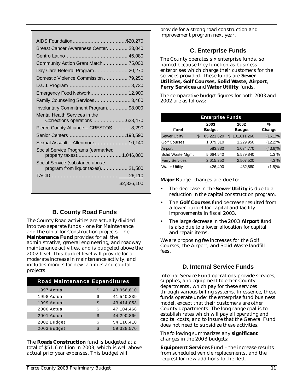| Breast Cancer Awareness Center 23,040                                |             |
|----------------------------------------------------------------------|-------------|
|                                                                      |             |
| Community Action Grant Match 75,000                                  |             |
| Day Care Referral Program 20,270                                     |             |
| Domestic Violence Commission 79,250                                  |             |
|                                                                      |             |
| Emergency Food Network 12,900                                        |             |
| Family Counseling Services 3,460                                     |             |
| Involuntary Commitment Program 98,000                                |             |
| Mental Health Services in the<br>Corrections operations 628,470      |             |
| Pierce County Alliance - CRESTOS  8,290                              |             |
|                                                                      |             |
| Sexual Assault - Allenmore  10,140                                   |             |
| Social Service Programs (earmarked<br>property taxes)1,046,000       |             |
| Social Service (substance abuse<br>program from liquor taxes) 21,500 |             |
|                                                                      |             |
|                                                                      | \$2,326,100 |
|                                                                      |             |

# **B. County Road Funds**

The County Road activities are actually divided into two separate funds - one for Maintenance and the other for Construction projects. The **Maintenance Fund** provides for all the administrative, general engineering, and roadway maintenance activities, and is budgeted above the 2002 level. This budget level will provide for a moderate increase in maintenance activity, and includes monies for new facilities and capital projects.

| <b>Road Maintenance Expenditures</b> |     |            |
|--------------------------------------|-----|------------|
| 1997 Actual                          | \$  | 43,956,810 |
| 1998 Actual                          | \$. | 41,540,239 |
| 1999 Actual                          | \$. | 43,414,053 |
| 2000 Actual                          | \$. | 47,104,468 |
| 2001 Actual                          | \$. | 44,290,866 |
| 2002 Budget                          | \$  | 54,116,410 |
| 2003 Budget                          | ፍ   | 59,328,570 |

The **Roads Construction** fund is budgeted at a total of \$51.6 million in 2003, which is well above actual prior year expenses. This budget will

provide for a strong road construction and improvement program next year.

# **C. Enterprise Funds**

The County operates six enterprise funds, so named because they function as business enterprises which charge their customers for the services provided. These funds are **Sewer Utilities, Golf Courses, Solid Waste, Airport**, **Ferry Services** and **Water Utility** funds.

The comparative budget figures for both 2003 and 2002 are as follows:

| <b>Enterprise Funds</b> |   |               |  |               |            |  |  |  |  |
|-------------------------|---|---------------|--|---------------|------------|--|--|--|--|
| 2003<br>2002<br>%       |   |               |  |               |            |  |  |  |  |
| Fund                    |   | <b>Budget</b> |  | <b>Budget</b> | Change     |  |  |  |  |
| <b>Sewer Utility</b>    | S | 85,221,620    |  | \$101,611,260 | $(16.1)\%$ |  |  |  |  |
| <b>Golf Courses</b>     |   | 1,079,310     |  | 1,229,950     | $(12.2)\%$ |  |  |  |  |
| Airport                 |   | 583,880       |  | 1,034,770     | $(43.6)\%$ |  |  |  |  |
| Solid Waste Mgmt        |   | 5,664,540     |  | 5,589,840     | 1.3%       |  |  |  |  |
| <b>Ferry Services</b>   |   | 2,615,250     |  | 2,507,520     | 4.3 %      |  |  |  |  |
| <b>Water Utility</b>    |   | 426,490       |  | 432,880       | (1.5)%     |  |  |  |  |

**Major** Budget changes are due to:

- The decrease in the **Sewer Utility** is due to a reduction in the capital construction program.
- The **Golf Courses** fund decrease resulted from a lower budget for capital and facility improvements in fiscal 2003.
- The large decrease in the 2003 **Airport** fund is also due to a lower allocation for capital and repair items.

We are proposing fee increases for the Golf Courses, the Airport, and Solid Waste landfill fees.

# **D. Internal Service Funds**

Internal Service Fund operations provide services, supplies, and equipment to other County departments, which pay for these services through various billing systems. In essence, these funds operate under the enterprise fund business model, except that their customers are other County departments. The long-range goal is to establish rates which will pay all operating and capital costs, and to insure that the General Fund does not need to subsidize these activities.

The following summarizes any **significant** changes in the 2003 budgets:

**Equipment Services** Fund – the increase results from scheduled vehicle replacements, and the request for new additions to the fleet.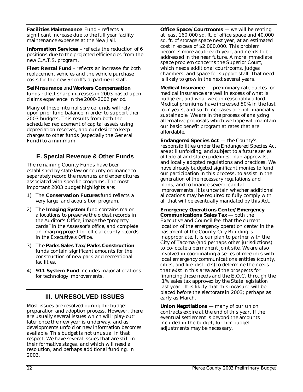**Facilities Maintenance** Fund **–** reflects a significant increase due to the full year facility maintenance expenses at the New Jail.

**Information Services** – reflects the reduction of 6 positions due to the projected efficiencies from the new C.A.T.S. program.

**Fleet Rental Fund** – reflects an increase for both replacement vehicles and the vehicle purchase costs for the new Sheriff's department staff.

# **Self-Insurance** and **Workers Compensation**

funds reflect sharp increases in 2003 based upon claims experience in the 2000-2002 period.

Many of these internal service funds will rely upon prior fund balance in order to support their 2003 budgets. This results from both the scheduled replacement of capital assets using depreciation reserves, and our desire to keep charges to other funds (especially the General Fund) to a minimum.

# **E. Special Revenue & Other Funds**

The remaining County Funds have been established by state law or county ordinance to separately record the revenues and expenditures associated with specific programs. The most important 2003 budget highlights are:

- 1) The **Conservation Futures** fund reflects a very large land acquisition program.
- 2) The **Imaging System** fund contains major allocations to preserve the oldest records in the Auditor's Office, image the "property cards" in the Assessor's office, and complete an imaging project for official county records in the Executive's Office.
- 3) The **Parks Sales Tax/Parks Construction** funds contain significant amounts for the construction of new park and recreational facilities.
- 4) **911 System Fund** includes major allocations for technology improvements.

# **III. UNRESOLVED ISSUES**

Most issues are resolved during the budget preparation and adoption process. However, there are usually several issues which will "play-out" later once the new year is underway, and as developments unfold or new information becomes available. This budget is not unusual in that respect. We have several issues that are still in their formative stages, and which will need a resolution, and perhaps additional funding, in 2003.

**Office Space/Courtrooms** — we will be renting at least 160,000 sq. ft. of office space and 40,000 sq. ft. of storage space next year, at an estimated cost in excess of \$2,000,000. This problem becomes more acute each year, and needs to be addressed in the near future. A more immediate space problem concerns the Superior Court, which needs additional courtrooms, judges chambers, and space for support staff. That need is likely to grow in the next several years.

**Medical Insurance** — preliminary rate quotes for medical insurance are well in excess of what is budgeted, and what we can reasonably afford. Medical premiums have increased 50% in the last four years, and such increases are not financially sustainable. We are in the process of analyzing alternative proposals which we hope will maintain our basic benefit program at rates that are affordable.

**Endangered Species Act** — the County's responsibilities under the Endangered Species Act are still unfolding, and subject to a future series of federal and state guidelines, plan approvals, and locally adopted regulations and practices. We have already budgeted significant monies to fund our participation in this process, to assist in the generation of the necessary regulations and plans, and to finance several capital improvements. It is uncertain whether additional allocations may be required to fully comply with all that will be eventually mandated by this Act.

**Emergency Operations Center/Emergency Communications Sales Tax** — both the Executive and Council feel that the current location of the emergency operation center in the basement of the County-City Building is inappropriate. It is our plan to partner with the City of Tacoma (and perhaps other jurisdictions) to co-locate a permanent joint site. We are also involved in coordinating a series of meetings with local emergency communications entities (county, cities, and fire districts) to determine the needs that exist in this area and the prospects for financing those needs and the E.O.C. through the .1% sales tax approved by the State legislation last year. It is likely that this measure will be placed before the electorate in 2003; perhaps as early as March.

**Union Negotiations** — many of our union contracts expire at the end of this year. If the eventual settlement is beyond the amounts included in the budget, further budget adjustments may be necessary.